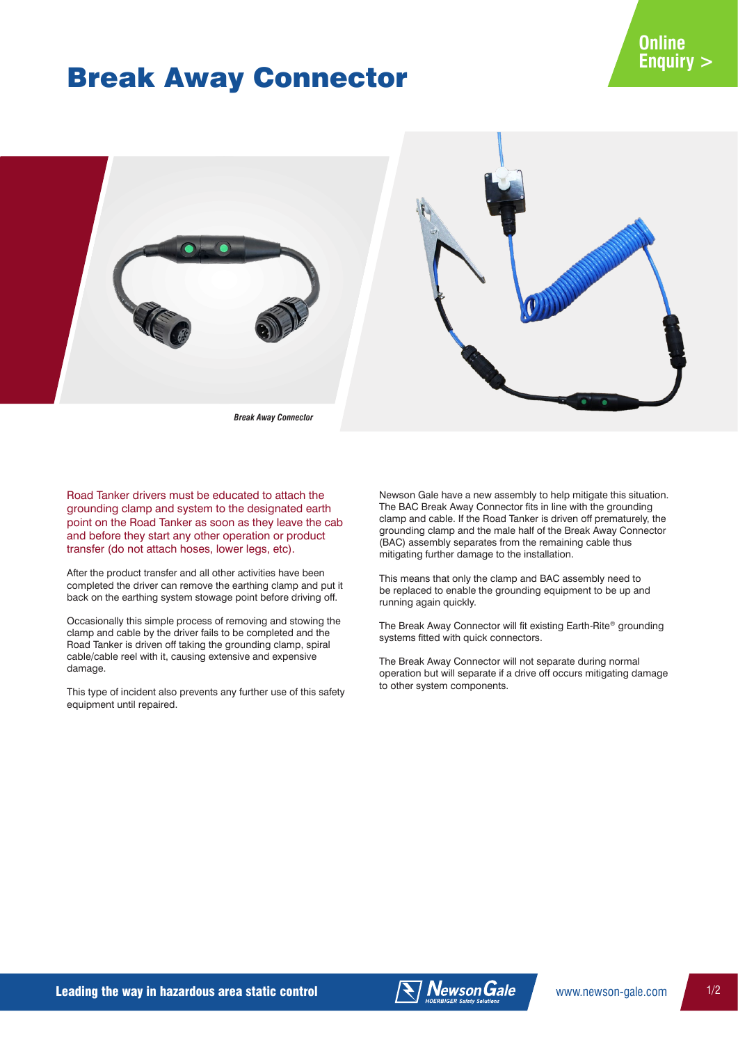# Break Away Connector



*Break Away Connector*

Road Tanker drivers must be educated to attach the grounding clamp and system to the designated earth point on the Road Tanker as soon as they leave the cab and before they start any other operation or product transfer (do not attach hoses, lower legs, etc).

After the product transfer and all other activities have been completed the driver can remove the earthing clamp and put it back on the earthing system stowage point before driving off.

Occasionally this simple process of removing and stowing the clamp and cable by the driver fails to be completed and the Road Tanker is driven off taking the grounding clamp, spiral cable/cable reel with it, causing extensive and expensive damage.

This type of incident also prevents any further use of this safety equipment until repaired.

Newson Gale have a new assembly to help mitigate this situation. The BAC Break Away Connector fits in line with the grounding clamp and cable. If the Road Tanker is driven off prematurely, the grounding clamp and the male half of the Break Away Connector (BAC) assembly separates from the remaining cable thus mitigating further damage to the installation.

This means that only the clamp and BAC assembly need to be replaced to enable the grounding equipment to be up and running again quickly.

The Break Away Connector will fit existing Earth-Rite® grounding systems fitted with quick connectors.

The Break Away Connector will not separate during normal operation but will separate if a drive off occurs mitigating damage to other system components.